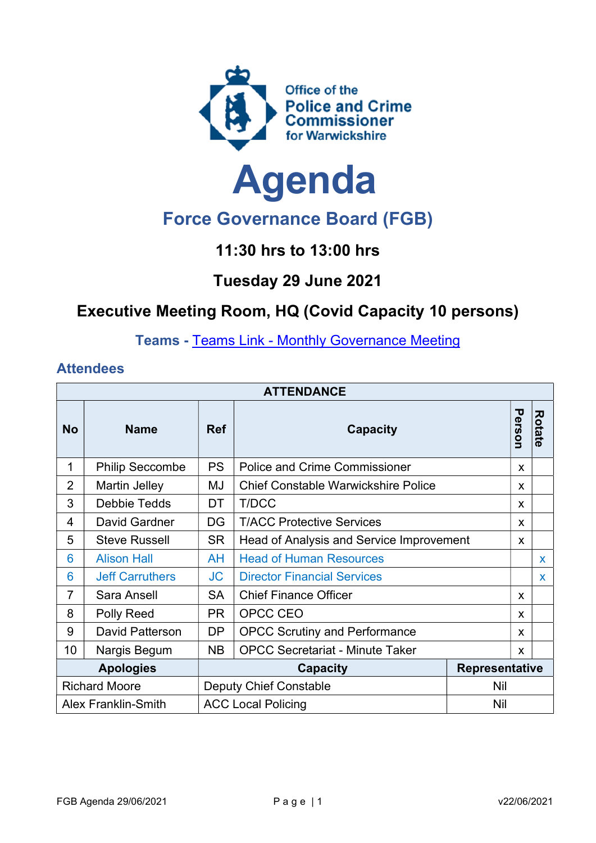



# Force Governance Board (FGB)

## 11:30 hrs to 13:00 hrs

#### Tuesday 29 June 2021

## Executive Meeting Room, HQ (Covid Capacity 10 persons)

Teams - Teams Link - Monthly Governance Meeting

#### **Attendees**

| <b>ATTENDANCE</b>          |                        |                                          |                                            |  |        |               |  |  |
|----------------------------|------------------------|------------------------------------------|--------------------------------------------|--|--------|---------------|--|--|
| <b>No</b>                  | <b>Name</b>            | <b>Ref</b>                               | <b>Capacity</b>                            |  | Person | <b>Rotate</b> |  |  |
| 1                          | <b>Philip Seccombe</b> | <b>PS</b>                                | <b>Police and Crime Commissioner</b>       |  | X      |               |  |  |
| $\overline{2}$             | <b>Martin Jelley</b>   | MJ                                       | <b>Chief Constable Warwickshire Police</b> |  | X      |               |  |  |
| 3                          | Debbie Tedds           | DT                                       | T/DCC                                      |  | X      |               |  |  |
| 4                          | David Gardner          | DG                                       | <b>T/ACC Protective Services</b>           |  | X      |               |  |  |
| 5                          | <b>Steve Russell</b>   | <b>SR</b>                                | Head of Analysis and Service Improvement   |  | X      |               |  |  |
| 6                          | <b>Alison Hall</b>     | AH                                       | <b>Head of Human Resources</b>             |  |        | $\mathbf{x}$  |  |  |
| 6                          | <b>Jeff Carruthers</b> | JC                                       | <b>Director Financial Services</b>         |  |        | $\mathbf{x}$  |  |  |
| 7                          | Sara Ansell            | <b>SA</b>                                | <b>Chief Finance Officer</b>               |  | X      |               |  |  |
| 8                          | Polly Reed             | <b>PR</b>                                | OPCC CEO                                   |  | X      |               |  |  |
| 9                          | David Patterson        | DP                                       | <b>OPCC Scrutiny and Performance</b>       |  | X.     |               |  |  |
| 10                         | Nargis Begum           | <b>NB</b>                                | <b>OPCC Secretariat - Minute Taker</b>     |  | X      |               |  |  |
| <b>Apologies</b>           |                        | <b>Representative</b><br><b>Capacity</b> |                                            |  |        |               |  |  |
| <b>Richard Moore</b>       |                        |                                          | <b>Deputy Chief Constable</b><br>Nil       |  |        |               |  |  |
| <b>Alex Franklin-Smith</b> |                        |                                          | <b>ACC Local Policing</b><br>Nil           |  |        |               |  |  |